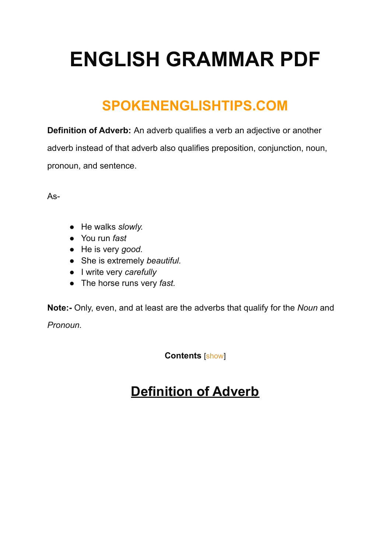## **ENGLISH GRAMMAR PDF**

## **SPOKENENGLISHTIPS.COM**

**Definition of Adverb:** An adverb qualifies a verb an adjective or another adverb instead of that adverb also qualifies preposition, conjunction, noun, pronoun, and sentence.

As-

- He walks *slowly.*
- You run *fast*
- He is very *good.*
- She is extremely *beautiful.*
- I write very *carefully*
- The horse runs very *fast.*

**Note:-** Only, even, and at least are the adverbs that qualify for the *Noun* and *Pronoun.*

**Contents** [\[show](https://spokenenglishtips.com/definition-of-adverb/#)]

#### **Definition of Adverb**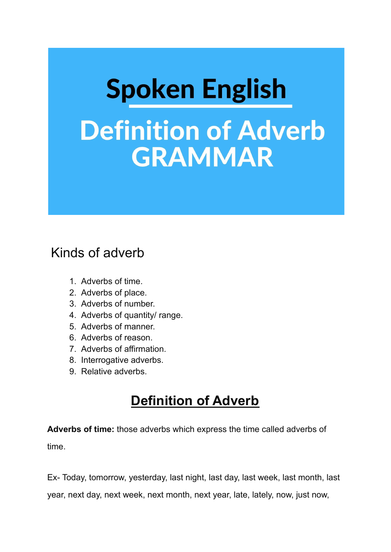# **Spoken English Definition of Adverb GRAMMAR**

#### Kinds of adverb

- 1. Adverbs of time.
- 2. Adverbs of place.
- 3. Adverbs of number.
- 4. Adverbs of quantity/ range.
- 5. Adverbs of manner.
- 6. Adverbs of reason.
- 7. Adverbs of affirmation.
- 8. Interrogative adverbs.
- 9. Relative adverbs.

#### **Definition of Adverb**

**Adverbs of time:** those adverbs which express the time called adverbs of time.

Ex- Today, tomorrow, yesterday, last night, last day, last week, last month, last

year, next day, next week, next month, next year, late, lately, now, just now,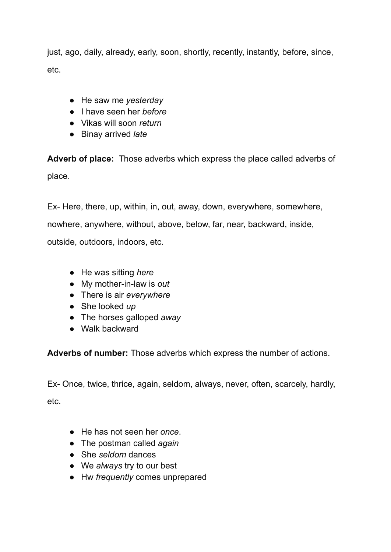just, ago, daily, already, early, soon, shortly, recently, instantly, before, since, etc.

- He saw me *yesterday*
- I have seen her *before*
- Vikas will soon *return*
- Binay arrived *late*

**Adverb of place:** Those adverbs which express the place called adverbs of place.

Ex- Here, there, up, within, in, out, away, down, everywhere, somewhere,

nowhere, anywhere, without, above, below, far, near, backward, inside,

outside, outdoors, indoors, etc.

- He was sitting *here*
- My mother-in-law is *out*
- There is air *everywhere*
- She looked *up*
- The horses galloped *away*
- Walk backward

**Adverbs of number:** Those adverbs which express the number of actions.

Ex- Once, twice, thrice, again, seldom, always, never, often, scarcely, hardly, etc.

- He has not seen her *once*.
- The postman called *again*
- She *seldom* dances
- We *always* try to our best
- Hw *frequently* comes unprepared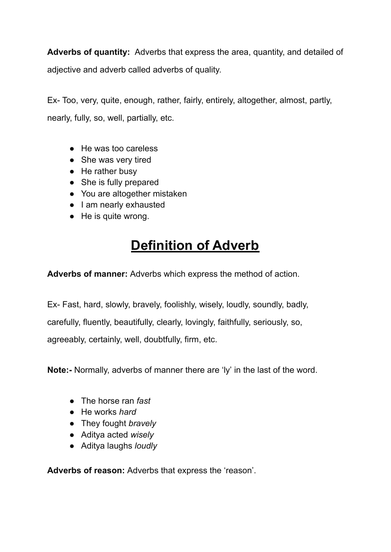**Adverbs of quantity:** Adverbs that express the area, quantity, and detailed of adjective and adverb called adverbs of quality.

Ex- Too, very, quite, enough, rather, fairly, entirely, altogether, almost, partly, nearly, fully, so, well, partially, etc.

- He was too careless
- She was very tired
- He rather busy
- She is fully prepared
- You are altogether mistaken
- I am nearly exhausted
- He is quite wrong.

## **Definition of Adverb**

**Adverbs of manner:** Adverbs which express the method of action.

Ex- Fast, hard, slowly, bravely, foolishly, wisely, loudly, soundly, badly, carefully, fluently, beautifully, clearly, lovingly, faithfully, seriously, so, agreeably, certainly, well, doubtfully, firm, etc.

**Note:-** Normally, adverbs of manner there are 'ly' in the last of the word.

- The horse ran *fast*
- He works *hard*
- They fought *bravely*
- Aditya acted *wisely*
- Aditya laughs *loudly*

**Adverbs of reason:** Adverbs that express the 'reason'.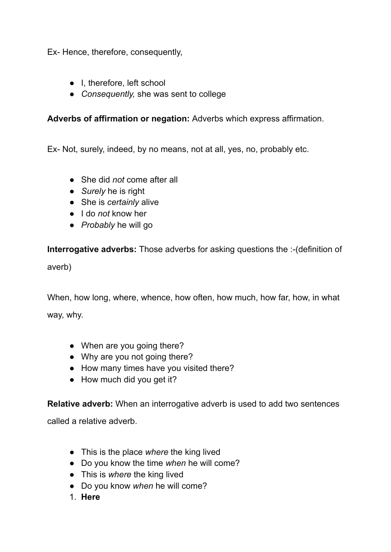Ex- Hence, therefore, consequently,

- I, therefore, left school
- *Consequently,* she was sent to college

#### **Adverbs of affirmation or negation:** Adverbs which express affirmation.

Ex- Not, surely, indeed, by no means, not at all, yes, no, probably etc.

- She did *not* come after all
- *Surely* he is right
- She is *certainly* alive
- I do *not* know her
- *Probably* he will go

**Interrogative adverbs:** Those adverbs for asking questions the :-(definition of

averb)

When, how long, where, whence, how often, how much, how far, how, in what way, why.

- When are you going there?
- Why are you not going there?
- How many times have you visited there?
- How much did you get it?

**Relative adverb:** When an interrogative adverb is used to add two sentences

called a relative adverb.

- This is the place *where* the king lived
- Do you know the time *when* he will come?
- This is *where* the king lived
- Do you know *when* he will come?
- 1. **Here**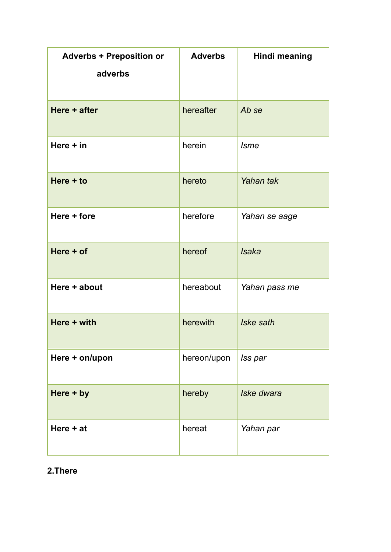| <b>Adverbs + Preposition or</b> | <b>Adverbs</b> | <b>Hindi meaning</b> |
|---------------------------------|----------------|----------------------|
| adverbs                         |                |                      |
| Here + after                    | hereafter      | Ab se                |
| Here $+$ in                     | herein         | <b>Isme</b>          |
| Here $+$ to                     | hereto         | Yahan tak            |
| Here + fore                     | herefore       | Yahan se aage        |
| Here + of                       | hereof         | <b>Isaka</b>         |
| Here + about                    | hereabout      | Yahan pass me        |
| Here + with                     | herewith       | Iske sath            |
| Here + on/upon                  | hereon/upon    | Iss par              |
| Here + by                       | hereby         | Iske dwara           |
| Here $+at$                      | hereat         | Yahan par            |

#### **2.There**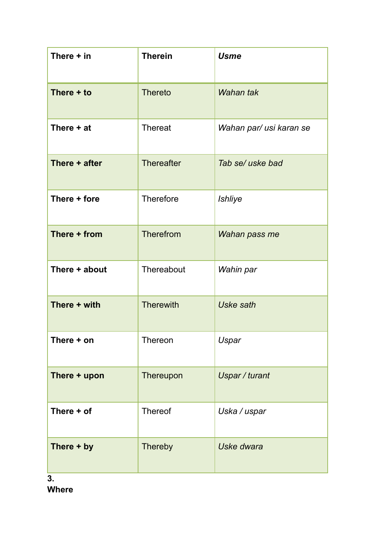| There $+$ in     | <b>Therein</b>    | <b>Usme</b>             |
|------------------|-------------------|-------------------------|
| There + to       | <b>Thereto</b>    | Wahan tak               |
| There + at       | <b>Thereat</b>    | Wahan par/ usi karan se |
| There + after    | <b>Thereafter</b> | Tab se/ uske bad        |
| There + fore     | <b>Therefore</b>  | <b>Ishliye</b>          |
| There + from     | Therefrom         | Wahan pass me           |
| There + about    | Thereabout        | Wahin par               |
| There + with     | <b>Therewith</b>  | <b>Uske sath</b>        |
| There + on       | Thereon           | Uspar                   |
| There + upon     | Thereupon         | Uspar / turant          |
| There + of       | Thereof           | Uska / uspar            |
| There + by<br>3. | Thereby           | Uske dwara              |

**Where**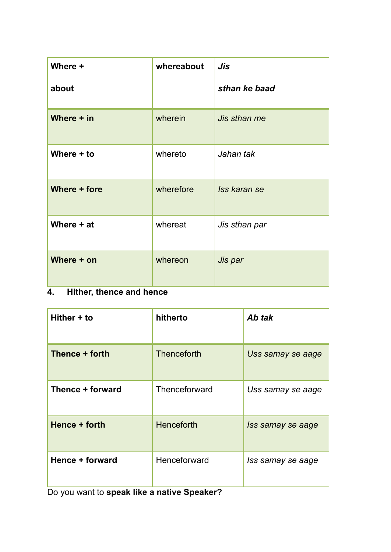| Where +           | whereabout | Jis           |
|-------------------|------------|---------------|
| about             |            | sthan ke baad |
| Where $+$ in      | wherein    | Jis sthan me  |
| Where + to        | whereto    | Jahan tak     |
| Where + fore      | wherefore  | Iss karan se  |
| Where + at        | whereat    | Jis sthan par |
| Where + on<br>. . | whereon    | Jis par       |

#### **4. Hither, thence and hence**

| Hither + to      | hitherto          | Ab tak            |
|------------------|-------------------|-------------------|
| Thence + forth   | Thenceforth       | Uss samay se aage |
| Thence + forward | Thenceforward     | Uss samay se aage |
| Hence + forth    | <b>Henceforth</b> | Iss samay se aage |
| Hence + forward  | Henceforward      | Iss samay se aage |

Do you want to **speak like a native Speaker?**